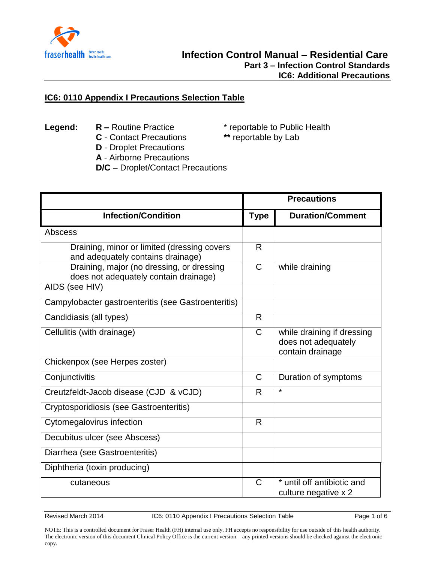

## **IC6: 0110 Appendix I Precautions Selection Table**

- **Legend: R** Routine Practice \* reportable to Public Health<br> **C** Contact Precautions \*\* reportable by Lab
	- **C** Contact Precautions
- 
- **D** Droplet Precautions
- **A** Airborne Precautions
- **D/C** Droplet/Contact Precautions

|                                                                                    | <b>Precautions</b> |                                                                       |
|------------------------------------------------------------------------------------|--------------------|-----------------------------------------------------------------------|
| <b>Infection/Condition</b>                                                         | <b>Type</b>        | <b>Duration/Comment</b>                                               |
| Abscess                                                                            |                    |                                                                       |
| Draining, minor or limited (dressing covers<br>and adequately contains drainage)   | R                  |                                                                       |
| Draining, major (no dressing, or dressing<br>does not adequately contain drainage) | $\mathsf{C}$       | while draining                                                        |
| AIDS (see HIV)                                                                     |                    |                                                                       |
| Campylobacter gastroenteritis (see Gastroenteritis)                                |                    |                                                                       |
| Candidiasis (all types)                                                            | R.                 |                                                                       |
| Cellulitis (with drainage)                                                         | $\mathsf{C}$       | while draining if dressing<br>does not adequately<br>contain drainage |
| Chickenpox (see Herpes zoster)                                                     |                    |                                                                       |
| Conjunctivitis                                                                     | $\mathsf{C}$       | Duration of symptoms                                                  |
| Creutzfeldt-Jacob disease (CJD & vCJD)                                             | R                  | $\star$                                                               |
| Cryptosporidiosis (see Gastroenteritis)                                            |                    |                                                                       |
| Cytomegalovirus infection                                                          | R                  |                                                                       |
| Decubitus ulcer (see Abscess)                                                      |                    |                                                                       |
| Diarrhea (see Gastroenteritis)                                                     |                    |                                                                       |
| Diphtheria (toxin producing)                                                       |                    |                                                                       |
| cutaneous                                                                          | $\mathsf{C}$       | * until off antibiotic and<br>culture negative x 2                    |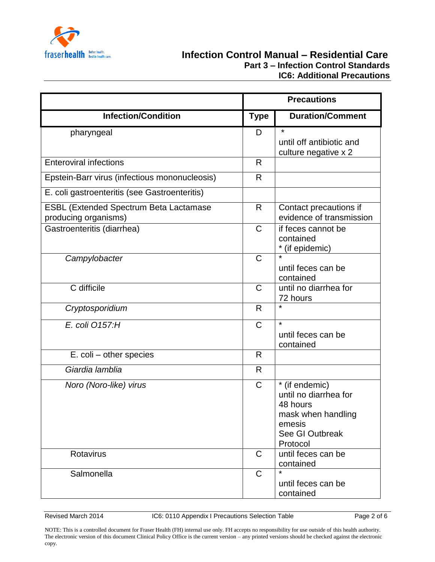

## **Fraserhealth** Better health **Care Part 3 – Infection Control Standards IC6: Additional Precautions**

|                                                                       | <b>Precautions</b> |                                                                                                                    |
|-----------------------------------------------------------------------|--------------------|--------------------------------------------------------------------------------------------------------------------|
| <b>Infection/Condition</b>                                            | <b>Type</b>        | <b>Duration/Comment</b>                                                                                            |
| pharyngeal                                                            | D                  | $\star$<br>until off antibiotic and<br>culture negative x 2                                                        |
| <b>Enteroviral infections</b>                                         | R                  |                                                                                                                    |
| Epstein-Barr virus (infectious mononucleosis)                         | R                  |                                                                                                                    |
| E. coli gastroenteritis (see Gastroenteritis)                         |                    |                                                                                                                    |
| <b>ESBL (Extended Spectrum Beta Lactamase</b><br>producing organisms) | R                  | Contact precautions if<br>evidence of transmission                                                                 |
| Gastroenteritis (diarrhea)                                            | $\mathsf{C}$       | if feces cannot be<br>contained<br>* (if epidemic)                                                                 |
| Campylobacter                                                         | $\mathsf C$        | until feces can be<br>contained                                                                                    |
| C difficile                                                           | $\mathsf C$        | until no diarrhea for<br>72 hours                                                                                  |
| Cryptosporidium                                                       | R                  | $\star$                                                                                                            |
| E. coli 0157:H                                                        | $\mathsf{C}$       | $\star$<br>until feces can be<br>contained                                                                         |
| E. coli - other species                                               | $\mathsf{R}$       |                                                                                                                    |
| Giardia lamblia                                                       | R                  |                                                                                                                    |
| Noro (Noro-like) virus                                                | $\mathsf{C}$       | * (if endemic)<br>until no diarrhea for<br>48 hours<br>mask when handling<br>emesis<br>See GI Outbreak<br>Protocol |
| Rotavirus                                                             | $\mathsf C$        | until feces can be<br>contained                                                                                    |
| Salmonella                                                            | $\mathsf C$        | $\star$<br>until feces can be<br>contained                                                                         |

Revised March 2014 **IC6: 0110 Appendix I Precautions Selection Table** Page 2 of 6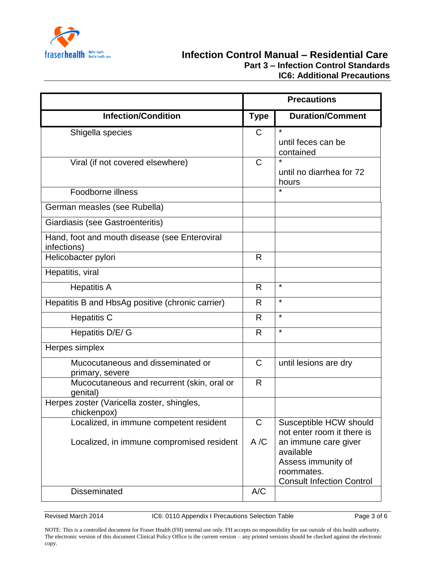

|                                                              | <b>Precautions</b> |                                                                                                           |
|--------------------------------------------------------------|--------------------|-----------------------------------------------------------------------------------------------------------|
| <b>Infection/Condition</b>                                   | <b>Type</b>        | <b>Duration/Comment</b>                                                                                   |
| Shigella species                                             | C                  | $\star$<br>until feces can be<br>contained                                                                |
| Viral (if not covered elsewhere)                             | $\mathsf{C}$       | $\star$<br>until no diarrhea for 72<br>hours                                                              |
| Foodborne illness                                            |                    | $\star$                                                                                                   |
| German measles (see Rubella)                                 |                    |                                                                                                           |
| Giardiasis (see Gastroenteritis)                             |                    |                                                                                                           |
| Hand, foot and mouth disease (see Enteroviral<br>infections) |                    |                                                                                                           |
| Helicobacter pylori                                          | R                  |                                                                                                           |
| Hepatitis, viral                                             |                    |                                                                                                           |
| <b>Hepatitis A</b>                                           | R                  | $\star$                                                                                                   |
| Hepatitis B and HbsAg positive (chronic carrier)             | R                  | $\star$                                                                                                   |
| <b>Hepatitis C</b>                                           | $\mathsf{R}$       | $\star$                                                                                                   |
| Hepatitis D/E/ G                                             | $\mathsf{R}$       | $\star$                                                                                                   |
| Herpes simplex                                               |                    |                                                                                                           |
| Mucocutaneous and disseminated or<br>primary, severe         | $\mathsf{C}$       | until lesions are dry                                                                                     |
| Mucocutaneous and recurrent (skin, oral or<br>genital)       | R                  |                                                                                                           |
| Herpes zoster (Varicella zoster, shingles,<br>chickenpox)    |                    |                                                                                                           |
| Localized, in immune competent resident                      | $\mathsf{C}$       | Susceptible HCW should<br>not enter room it there is                                                      |
| Localized, in immune compromised resident                    | A/C                | an immune care giver<br>available<br>Assess immunity of<br>roommates.<br><b>Consult Infection Control</b> |
| <b>Disseminated</b>                                          | A/C                |                                                                                                           |

Revised March 2014 **IC6: 0110 Appendix I Precautions Selection Table** Page 3 of 6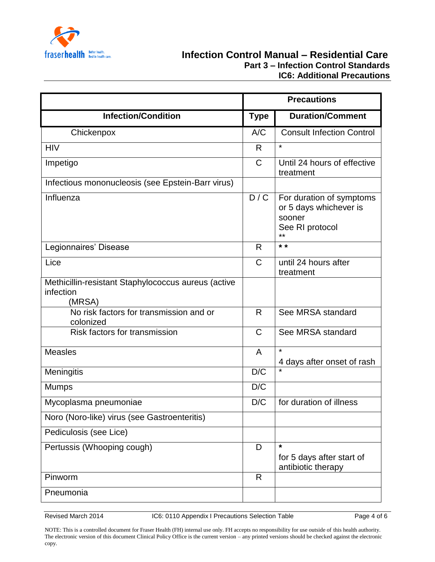

|                                                                            | <b>Precautions</b> |                                                                                          |
|----------------------------------------------------------------------------|--------------------|------------------------------------------------------------------------------------------|
| <b>Infection/Condition</b>                                                 | <b>Type</b>        | <b>Duration/Comment</b>                                                                  |
| Chickenpox                                                                 | A/C                | <b>Consult Infection Control</b>                                                         |
| <b>HIV</b>                                                                 | R.                 | $\star$                                                                                  |
| Impetigo                                                                   | $\mathsf{C}$       | Until 24 hours of effective<br>treatment                                                 |
| Infectious mononucleosis (see Epstein-Barr virus)                          |                    |                                                                                          |
| Influenza                                                                  | D/C                | For duration of symptoms<br>or 5 days whichever is<br>sooner<br>See RI protocol<br>$***$ |
| Legionnaires' Disease                                                      | R                  | $* *$                                                                                    |
| Lice                                                                       | $\mathsf{C}$       | until 24 hours after<br>treatment                                                        |
| Methicillin-resistant Staphylococcus aureus (active<br>infection<br>(MRSA) |                    |                                                                                          |
| No risk factors for transmission and or<br>colonized                       | $\mathsf{R}$       | See MRSA standard                                                                        |
| Risk factors for transmission                                              | $\mathsf{C}$       | See MRSA standard                                                                        |
| <b>Measles</b>                                                             | $\mathsf{A}$       | $\star$<br>4 days after onset of rash                                                    |
| Meningitis                                                                 | D/C                |                                                                                          |
| <b>Mumps</b>                                                               | D/C                |                                                                                          |
| Mycoplasma pneumoniae                                                      | D/C                | for duration of illness                                                                  |
| Noro (Noro-like) virus (see Gastroenteritis)                               |                    |                                                                                          |
| Pediculosis (see Lice)                                                     |                    |                                                                                          |
| Pertussis (Whooping cough)                                                 | D                  | $\star$<br>for 5 days after start of<br>antibiotic therapy                               |
| Pinworm                                                                    | R                  |                                                                                          |
| Pneumonia                                                                  |                    |                                                                                          |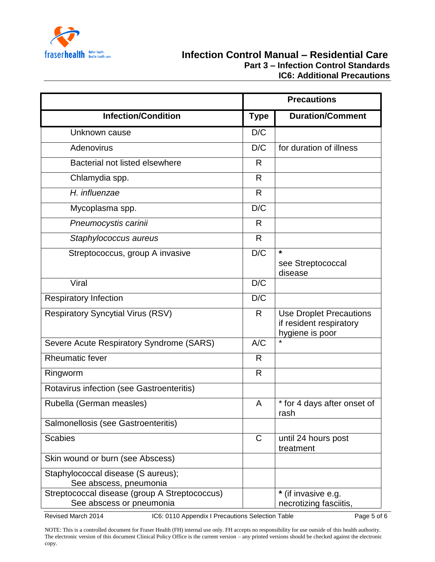

|                                                                           |              | <b>Precautions</b>                                                           |  |
|---------------------------------------------------------------------------|--------------|------------------------------------------------------------------------------|--|
| <b>Infection/Condition</b>                                                | <b>Type</b>  | <b>Duration/Comment</b>                                                      |  |
| Unknown cause                                                             | D/C          |                                                                              |  |
| Adenovirus                                                                | D/C          | for duration of illness                                                      |  |
| Bacterial not listed elsewhere                                            | R            |                                                                              |  |
| Chlamydia spp.                                                            | R            |                                                                              |  |
| H. influenzae                                                             | $\mathsf{R}$ |                                                                              |  |
| Mycoplasma spp.                                                           | D/C          |                                                                              |  |
| Pneumocystis carinii                                                      | R            |                                                                              |  |
| Staphylococcus aureus                                                     | R            |                                                                              |  |
| Streptococcus, group A invasive                                           | D/C          | $\star$<br>see Streptococcal<br>disease                                      |  |
| Viral                                                                     | D/C          |                                                                              |  |
| <b>Respiratory Infection</b>                                              | D/C          |                                                                              |  |
| <b>Respiratory Syncytial Virus (RSV)</b>                                  | R            | <b>Use Droplet Precautions</b><br>if resident respiratory<br>hygiene is poor |  |
| Severe Acute Respiratory Syndrome (SARS)                                  | A/C          |                                                                              |  |
| <b>Rheumatic fever</b>                                                    | R            |                                                                              |  |
| Ringworm                                                                  | R            |                                                                              |  |
| Rotavirus infection (see Gastroenteritis)                                 |              |                                                                              |  |
| Rubella (German measles)                                                  | A            | * for 4 days after onset of<br>rash                                          |  |
| Salmonellosis (see Gastroenteritis)                                       |              |                                                                              |  |
| <b>Scabies</b>                                                            | $\mathsf{C}$ | until 24 hours post<br>treatment                                             |  |
| Skin wound or burn (see Abscess)                                          |              |                                                                              |  |
| Staphylococcal disease (S aureus);<br>See abscess, pneumonia              |              |                                                                              |  |
| Streptococcal disease (group A Streptococcus)<br>See abscess or pneumonia |              | * (if invasive e.g.<br>necrotizing fasciitis,                                |  |

Revised March 2014 **IC6: 0110 Appendix I Precautions Selection Table** Page 5 of 6